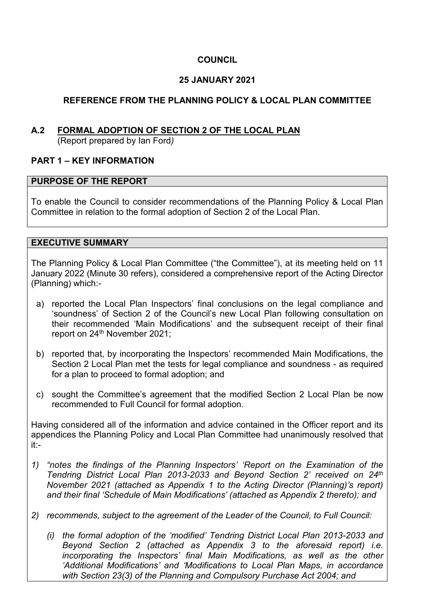# **COUNCIL**

# **25 JANUARY 2021**

# **REFERENCE FROM THE PLANNING POLICY & LOCAL PLAN COMMITTEE**

# **A.2 FORMAL ADOPTION OF SECTION 2 OF THE LOCAL PLAN**

(Report prepared by Ian Ford*)*

### **PART 1 – KEY INFORMATION**

#### **PURPOSE OF THE REPORT**

To enable the Council to consider recommendations of the Planning Policy & Local Plan Committee in relation to the formal adoption of Section 2 of the Local Plan.

### **EXECUTIVE SUMMARY**

The Planning Policy & Local Plan Committee ("the Committee"), at its meeting held on 11 January 2022 (Minute 30 refers), considered a comprehensive report of the Acting Director (Planning) which:-

- a) reported the Local Plan Inspectors' final conclusions on the legal compliance and 'soundness' of Section 2 of the Council's new Local Plan following consultation on their recommended 'Main Modifications' and the subsequent receipt of their final report on 24<sup>th</sup> November 2021:
- b) reported that, by incorporating the Inspectors' recommended Main Modifications, the Section 2 Local Plan met the tests for legal compliance and soundness - as required for a plan to proceed to formal adoption; and
- c) sought the Committee's agreement that the modified Section 2 Local Plan be now recommended to Full Council for formal adoption.

Having considered all of the information and advice contained in the Officer report and its appendices the Planning Policy and Local Plan Committee had unanimously resolved that it:-

- *1) "notes the findings of the Planning Inspectors' 'Report on the Examination of the Tendring District Local Plan 2013-2033 and Beyond Section 2' received on 24th November 2021 (attached as Appendix 1 to the Acting Director (Planning)'s report) and their final 'Schedule of Main Modifications' (attached as Appendix 2 thereto); and*
- *2) recommends, subject to the agreement of the Leader of the Council, to Full Council:* 
	- *(i) the formal adoption of the 'modified' Tendring District Local Plan 2013-2033 and Beyond Section 2 (attached as Appendix 3 to the aforesaid report) i.e. incorporating the Inspectors' final Main Modifications, as well as the other 'Additional Modifications' and 'Modifications to Local Plan Maps, in accordance with Section 23(3) of the Planning and Compulsory Purchase Act 2004; and*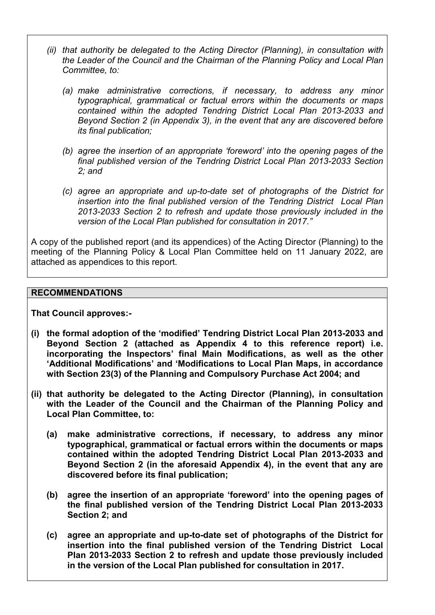- *(ii) that authority be delegated to the Acting Director (Planning), in consultation with the Leader of the Council and the Chairman of the Planning Policy and Local Plan Committee, to:* 
	- *(a) make administrative corrections, if necessary, to address any minor typographical, grammatical or factual errors within the documents or maps contained within the adopted Tendring District Local Plan 2013-2033 and Beyond Section 2 (in Appendix 3), in the event that any are discovered before its final publication;*
	- *(b) agree the insertion of an appropriate 'foreword' into the opening pages of the final published version of the Tendring District Local Plan 2013-2033 Section 2; and*
	- *(c) agree an appropriate and up-to-date set of photographs of the District for insertion into the final published version of the Tendring District Local Plan 2013-2033 Section 2 to refresh and update those previously included in the version of the Local Plan published for consultation in 2017."*

A copy of the published report (and its appendices) of the Acting Director (Planning) to the meeting of the Planning Policy & Local Plan Committee held on 11 January 2022, are attached as appendices to this report.

#### **RECOMMENDATIONS**

**That Council approves:-** 

- **(i) the formal adoption of the 'modified' Tendring District Local Plan 2013-2033 and Beyond Section 2 (attached as Appendix 4 to this reference report) i.e. incorporating the Inspectors' final Main Modifications, as well as the other 'Additional Modifications' and 'Modifications to Local Plan Maps, in accordance with Section 23(3) of the Planning and Compulsory Purchase Act 2004; and**
- **(ii) that authority be delegated to the Acting Director (Planning), in consultation with the Leader of the Council and the Chairman of the Planning Policy and Local Plan Committee, to:** 
	- **(a) make administrative corrections, if necessary, to address any minor typographical, grammatical or factual errors within the documents or maps contained within the adopted Tendring District Local Plan 2013-2033 and Beyond Section 2 (in the aforesaid Appendix 4), in the event that any are discovered before its final publication;**
	- **(b) agree the insertion of an appropriate 'foreword' into the opening pages of the final published version of the Tendring District Local Plan 2013-2033 Section 2; and**
	- **(c) agree an appropriate and up-to-date set of photographs of the District for insertion into the final published version of the Tendring District Local Plan 2013-2033 Section 2 to refresh and update those previously included in the version of the Local Plan published for consultation in 2017.**